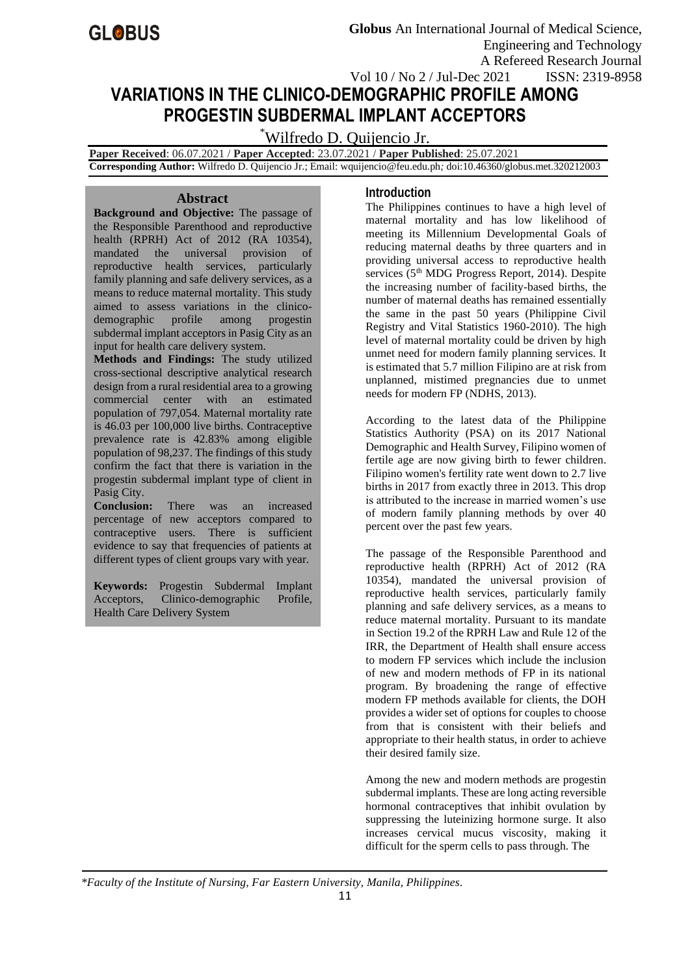# **VARIATIONS IN THE CLINICO-DEMOGRAPHIC PROFILE AMONG PROGESTIN SUBDERMAL IMPLANT ACCEPTORS**

# \*Wilfredo D. Quijencio Jr.

 **Paper Received**: 06.07.2021 / **Paper Accepted**: 23.07.2021 / **Paper Published**: 25.07.2021  **Corresponding Author:** Wilfredo D. Quijencio Jr.; Email: wquijencio@feu.edu.ph*;* doi:10.46360/globus.met.320212003

#### **Abstract**

**Background and Objective:** The passage of the Responsible Parenthood and reproductive health (RPRH) Act of 2012 (RA 10354), mandated the universal provision of reproductive health services, particularly family planning and safe delivery services, as a means to reduce maternal mortality. This study aimed to assess variations in the clinicodemographic profile among progestin subdermal implant acceptors in Pasig City as an input for health care delivery system.

**Methods and Findings:** The study utilized cross-sectional descriptive analytical research design from a rural residential area to a growing commercial center with an estimated population of 797,054. Maternal mortality rate is 46.03 per 100,000 live births. Contraceptive prevalence rate is 42.83% among eligible population of 98,237. The findings of this study confirm the fact that there is variation in the progestin subdermal implant type of client in Pasig City.

**Conclusion:** There was an increased percentage of new acceptors compared to contraceptive users. There is sufficient evidence to say that frequencies of patients at different types of client groups vary with year.

**Keywords:** Progestin Subdermal Implant Acceptors, Clinico-demographic Profile, Health Care Delivery System

## **Introduction**

The Philippines continues to have a high level of maternal mortality and has low likelihood of meeting its Millennium Developmental Goals of reducing maternal deaths by three quarters and in providing universal access to reproductive health services (5<sup>th</sup> MDG Progress Report, 2014). Despite the increasing number of facility-based births, the number of maternal deaths has remained essentially the same in the past 50 years (Philippine Civil Registry and Vital Statistics 1960-2010). The high level of maternal mortality could be driven by high unmet need for modern family planning services. It is estimated that 5.7 million Filipino are at risk from unplanned, mistimed pregnancies due to unmet needs for modern FP (NDHS, 2013).

According to the latest data of the Philippine Statistics Authority (PSA) on its 2017 National Demographic and Health Survey, Filipino women of fertile age are now giving birth to fewer children. Filipino women's fertility rate went down to 2.7 live births in 2017 from exactly three in 2013. This drop is attributed to the increase in married women's use of modern family planning methods by over 40 percent over the past few years.

The passage of the Responsible Parenthood and reproductive health (RPRH) Act of 2012 (RA 10354), mandated the universal provision of reproductive health services, particularly family planning and safe delivery services, as a means to reduce maternal mortality. Pursuant to its mandate in Section 19.2 of the RPRH Law and Rule 12 of the IRR, the Department of Health shall ensure access to modern FP services which include the inclusion of new and modern methods of FP in its national program. By broadening the range of effective modern FP methods available for clients, the DOH provides a wider set of options for couples to choose from that is consistent with their beliefs and appropriate to their health status, in order to achieve their desired family size.

Among the new and modern methods are progestin subdermal implants. These are long acting reversible hormonal contraceptives that inhibit ovulation by suppressing the luteinizing hormone surge. It also increases cervical mucus viscosity, making it difficult for the sperm cells to pass through. The

*\*Faculty of the Institute of Nursing, Far Eastern University, Manila, Philippines.*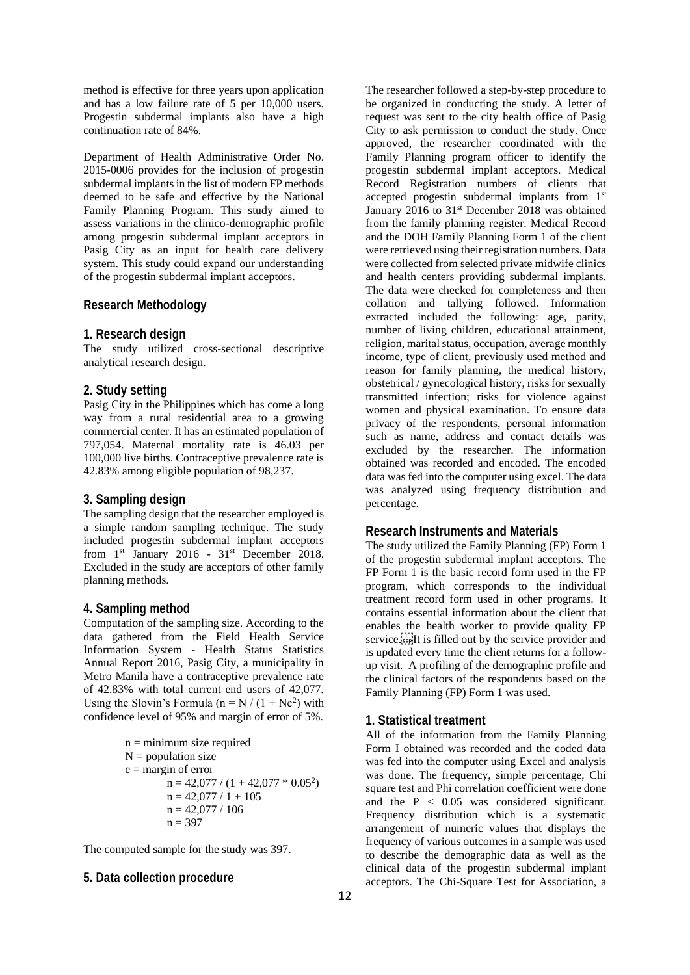method is effective for three years upon application and has a low failure rate of 5 per 10,000 users. Progestin subdermal implants also have a high continuation rate of 84%.

Department of Health Administrative Order No. 2015-0006 provides for the inclusion of progestin subdermal implants in the list of modern FP methods deemed to be safe and effective by the National Family Planning Program. This study aimed to assess variations in the clinico-demographic profile among progestin subdermal implant acceptors in Pasig City as an input for health care delivery system. This study could expand our understanding of the progestin subdermal implant acceptors.

### **Research Methodology**

#### **1. Research design**

The study utilized cross-sectional descriptive analytical research design.

#### **2. Study setting**

Pasig City in the Philippines which has come a long way from a rural residential area to a growing commercial center. It has an estimated population of 797,054. Maternal mortality rate is 46.03 per 100,000 live births. Contraceptive prevalence rate is 42.83% among eligible population of 98,237.

### **3. Sampling design**

The sampling design that the researcher employed is a simple random sampling technique. The study included progestin subdermal implant acceptors from  $1<sup>st</sup>$  January 2016 -  $31<sup>st</sup>$  December 2018. Excluded in the study are acceptors of other family planning methods.

#### **4. Sampling method**

Computation of the sampling size. According to the data gathered from the Field Health Service Information System - Health Status Statistics Annual Report 2016, Pasig City, a municipality in Metro Manila have a contraceptive prevalence rate of 42.83% with total current end users of 42,077. Using the Slovin's Formula ( $n = N / (1 + Ne^2)$  with confidence level of 95% and margin of error of 5%.

> $n =$  minimum size required  $N =$  population size  $e =$  margin of error  $n = 42,077 / (1 + 42,077 * 0.05^2)$  $n = 42,077 / 1 + 105$  $n = 42.077 / 106$  $n = 397$

The computed sample for the study was 397.

## **5. Data collection procedure**

The researcher followed a step-by-step procedure to be organized in conducting the study. A letter of request was sent to the city health office of Pasig City to ask permission to conduct the study. Once approved, the researcher coordinated with the Family Planning program officer to identify the progestin subdermal implant acceptors. Medical Record Registration numbers of clients that accepted progestin subdermal implants from 1st January 2016 to 31<sup>st</sup> December 2018 was obtained from the family planning register. Medical Record and the DOH Family Planning Form 1 of the client were retrieved using their registration numbers. Data were collected from selected private midwife clinics and health centers providing subdermal implants. The data were checked for completeness and then collation and tallying followed. Information extracted included the following: age, parity, number of living children, educational attainment, religion, marital status, occupation, average monthly income, type of client, previously used method and reason for family planning, the medical history, obstetrical / gynecological history, risks for sexually transmitted infection; risks for violence against women and physical examination. To ensure data privacy of the respondents, personal information such as name, address and contact details was excluded by the researcher. The information obtained was recorded and encoded. The encoded data was fed into the computer using excel. The data was analyzed using frequency distribution and percentage.

#### **Research Instruments and Materials**

The study utilized the Family Planning (FP) Form 1 of the progestin subdermal implant acceptors. The FP Form 1 is the basic record form used in the FP program, which corresponds to the individual treatment record form used in other programs. It contains essential information about the client that enables the health worker to provide quality FP service.<sup>[17]</sup>It is filled out by the service provider and is updated every time the client returns for a followup visit. A profiling of the demographic profile and the clinical factors of the respondents based on the Family Planning (FP) Form 1 was used.

#### **1. Statistical treatment**

All of the information from the Family Planning Form I obtained was recorded and the coded data was fed into the computer using Excel and analysis was done. The frequency, simple percentage, Chi square test and Phi correlation coefficient were done and the P < 0.05 was considered significant. Frequency distribution which is a systematic arrangement of numeric values that displays the frequency of various outcomes in a sample was used to describe the demographic data as well as the clinical data of the progestin subdermal implant acceptors. The Chi-Square Test for Association, a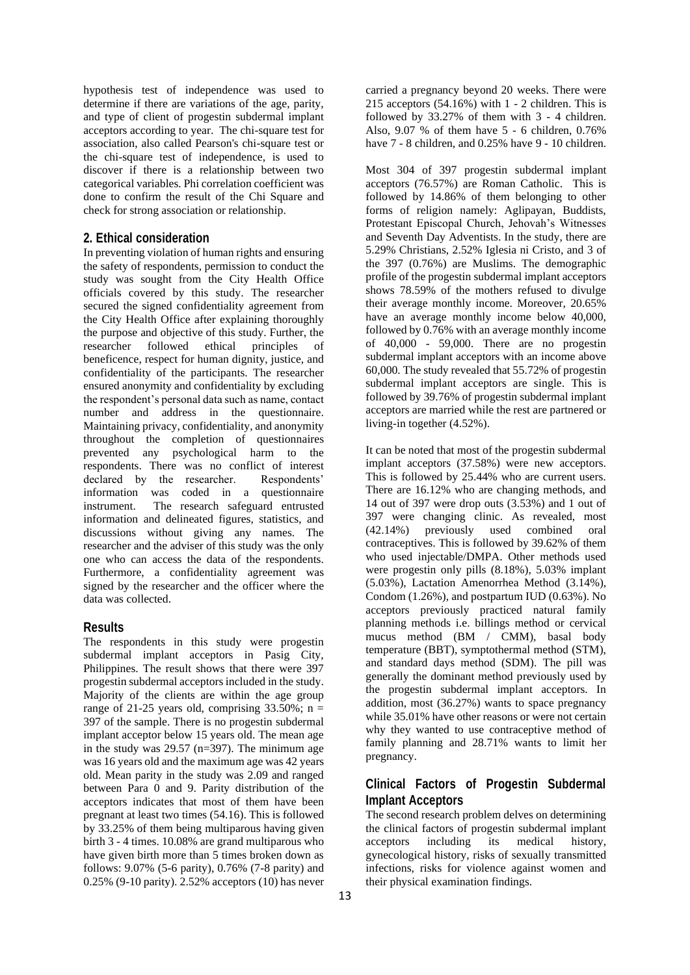hypothesis test of independence was used to determine if there are variations of the age, parity, and type of client of progestin subdermal implant acceptors according to year. The chi-square test for association, also called Pearson's chi-square test or the chi-square test of independence, is used to discover if there is a relationship between two categorical variables. Phi correlation coefficient was done to confirm the result of the Chi Square and check for strong association or relationship.

### **2. Ethical consideration**

In preventing violation of human rights and ensuring the safety of respondents, permission to conduct the study was sought from the City Health Office officials covered by this study. The researcher secured the signed confidentiality agreement from the City Health Office after explaining thoroughly the purpose and objective of this study. Further, the researcher followed ethical principles of beneficence, respect for human dignity, justice, and confidentiality of the participants. The researcher ensured anonymity and confidentiality by excluding the respondent's personal data such as name, contact number and address in the questionnaire. Maintaining privacy, confidentiality, and anonymity throughout the completion of questionnaires prevented any psychological harm to the respondents. There was no conflict of interest declared by the researcher. Respondents' information was coded in a questionnaire instrument. The research safeguard entrusted information and delineated figures, statistics, and discussions without giving any names. The researcher and the adviser of this study was the only one who can access the data of the respondents. Furthermore, a confidentiality agreement was signed by the researcher and the officer where the data was collected.

#### **Results**

The respondents in this study were progestin subdermal implant acceptors in Pasig City, Philippines. The result shows that there were 397 progestin subdermal acceptors included in the study. Majority of the clients are within the age group range of 21-25 years old, comprising  $33.50\%$ ; n = 397 of the sample. There is no progestin subdermal implant acceptor below 15 years old. The mean age in the study was  $29.57$  (n=397). The minimum age was 16 years old and the maximum age was 42 years old. Mean parity in the study was 2.09 and ranged between Para 0 and 9. Parity distribution of the acceptors indicates that most of them have been pregnant at least two times (54.16). This is followed by 33.25% of them being multiparous having given birth 3 - 4 times. 10.08% are grand multiparous who have given birth more than 5 times broken down as follows: 9.07% (5-6 parity), 0.76% (7-8 parity) and 0.25% (9-10 parity). 2.52% acceptors (10) has never

carried a pregnancy beyond 20 weeks. There were 215 acceptors  $(54.16\%)$  with 1 - 2 children. This is followed by 33.27% of them with 3 - 4 children. Also, 9.07 % of them have 5 - 6 children, 0.76% have  $7 - 8$  children, and 0.25% have 9 - 10 children.

Most 304 of 397 progestin subdermal implant acceptors (76.57%) are Roman Catholic. This is followed by 14.86% of them belonging to other forms of religion namely: Aglipayan, Buddists, Protestant Episcopal Church, Jehovah's Witnesses and Seventh Day Adventists. In the study, there are 5.29% Christians, 2.52% Iglesia ni Cristo, and 3 of the 397 (0.76%) are Muslims. The demographic profile of the progestin subdermal implant acceptors shows 78.59% of the mothers refused to divulge their average monthly income. Moreover, 20.65% have an average monthly income below 40,000, followed by 0.76% with an average monthly income of  $40,000$  - 59,000. There are no progestin subdermal implant acceptors with an income above 60,000. The study revealed that 55.72% of progestin subdermal implant acceptors are single. This is followed by 39.76% of progestin subdermal implant acceptors are married while the rest are partnered or living-in together (4.52%).

It can be noted that most of the progestin subdermal implant acceptors (37.58%) were new acceptors. This is followed by 25.44% who are current users. There are 16.12% who are changing methods, and 14 out of 397 were drop outs (3.53%) and 1 out of 397 were changing clinic. As revealed, most (42.14%) previously used combined oral contraceptives. This is followed by 39.62% of them who used injectable/DMPA. Other methods used were progestin only pills (8.18%), 5.03% implant (5.03%), Lactation Amenorrhea Method (3.14%), Condom (1.26%), and postpartum IUD (0.63%). No acceptors previously practiced natural family planning methods i.e. billings method or cervical mucus method (BM / CMM), basal body temperature (BBT), symptothermal method (STM), and standard days method (SDM). The pill was generally the dominant method previously used by the progestin subdermal implant acceptors. In addition, most (36.27%) wants to space pregnancy while 35.01% have other reasons or were not certain why they wanted to use contraceptive method of family planning and 28.71% wants to limit her pregnancy.

## **Clinical Factors of Progestin Subdermal Implant Acceptors**

The second research problem delves on determining the clinical factors of progestin subdermal implant acceptors including its medical history, gynecological history, risks of sexually transmitted infections, risks for violence against women and their physical examination findings.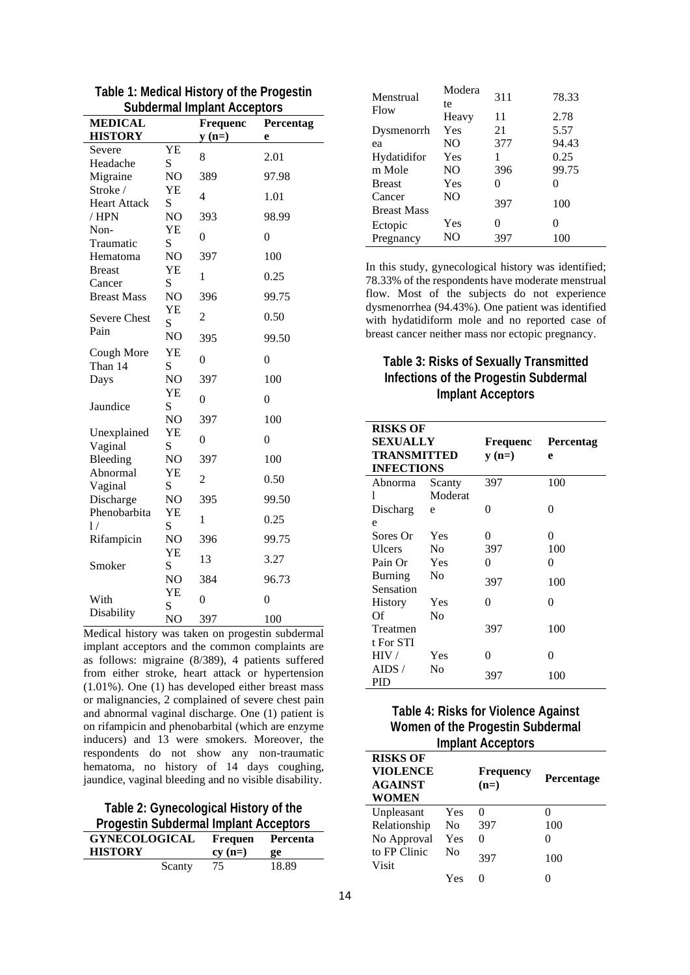| , , ,<br><b>MEDICAL</b>     |                | Frequenc       | Percentag |
|-----------------------------|----------------|----------------|-----------|
| <b>HISTORY</b>              |                | $y(n=)$        | e         |
| Severe                      | YE             | 8              | 2.01      |
| Headache                    | S              |                |           |
| Migraine                    | NO             | 389            | 97.98     |
| Stroke/                     | YE             | 4              | 1.01      |
| <b>Heart Attack</b>         | S              |                |           |
| / HPN                       | N <sub>O</sub> | 393            | 98.99     |
| Non-<br>Traumatic           | YE<br>S        | $\overline{0}$ | $\theta$  |
| Hematoma                    | NO             | 397            | 100       |
| <b>Breast</b>               | YΕ             |                |           |
| Cancer                      | S              | 1              | 0.25      |
| <b>Breast Mass</b>          | NO             | 396            | 99.75     |
|                             | YE             | $\overline{2}$ | 0.50      |
| <b>Severe Chest</b><br>Pain | S              |                |           |
|                             | NO             | 395            | 99.50     |
| Cough More                  | YE             | $\overline{0}$ | $\theta$  |
| Than 14                     | S              |                |           |
| Days                        | NO             | 397            | 100       |
|                             | YE             | $\overline{0}$ | $\theta$  |
| Jaundice                    | S              |                |           |
|                             | N <sub>O</sub> | 397            | 100       |
| Unexplained<br>Vaginal      | YE<br>S        | $\overline{0}$ | $\theta$  |
| Bleeding                    | NO             | 397            | 100       |
| Abnormal                    | YE             |                |           |
| Vaginal                     | S              | $\overline{c}$ | 0.50      |
| Discharge                   | NO             | 395            | 99.50     |
| Phenobarbita                | YE             | 1              | 0.25      |
| 1/                          | S              |                |           |
| Rifampicin                  | NO             | 396            | 99.75     |
|                             | YE             | 13             | 3.27      |
| Smoker                      | S              |                |           |
|                             | NO<br>YΕ       | 384            | 96.73     |
| With                        | S              | $\overline{0}$ | 0         |
| Disability                  | N <sub>O</sub> | 397            | 100       |

Table 1: Medical History of the Progestin **Subdermal Implant Acceptors** 

Medical history was taken on progestin subdermal implant acceptors and the common complaints are as follows: migraine (8/389), 4 patients suffered from either stroke, heart attack or hypertension  $(1.01\%)$ . One  $(1)$  has developed either breast mass or malignancies, 2 complained of severe chest pain and abnormal vaginal discharge. One (1) patient is on rifampicin and phenobarbital (which are enzyme inducers) and 13 were smokers. Moreover, the respondents do not show any non-traumatic hematoma, no history of 14 days coughing, jaundice, vaginal bleeding and no visible disability.

Table 2: Gynecological History of the **Drogoetin Cubdormal Implant Accontors** 

| <b>FIOGENIII SUDUCIIIIAI IIIIDIAIII ACCEDIOIS</b> |          |          |  |
|---------------------------------------------------|----------|----------|--|
| <b>GYNECOLOGICAL</b>                              | Frequen  | Percenta |  |
|                                                   |          |          |  |
| <b>HISTORY</b>                                    | $cv(n=)$ | _ee      |  |

| Menstrual          | Modera<br>te   | 311 | 78.33             |
|--------------------|----------------|-----|-------------------|
| Flow               | Heavy          | 11  | 2.78              |
| Dysmenorrh         | Yes            | 21  | 5.57              |
| ea                 | NO.            | 377 | 94.43             |
| Hydatidifor        | Yes            | 1   | 0.25              |
| m Mole             | NO.            | 396 | 99.75             |
| <b>Breast</b>      | Yes            | 0   |                   |
| Cancer             | N <sub>O</sub> | 397 | 100               |
| <b>Breast Mass</b> |                |     |                   |
| Ectopic            | Yes            | 0   | $\mathbf{\Omega}$ |
| Pregnancy          | NO.            | 397 | 100               |

In this study, gynecological history was identified; 78.33% of the respondents have moderate menstrual flow. Most of the subjects do not experience dysmenorrhea (94.43%). One patient was identified with hydatidiform mole and no reported case of breast cancer neither mass nor ectopic pregnancy.

# **Table 3: Risks of Sexually Transmitted Infections of the Progestin Subdermal Implant Acceptors**

| <b>RISKS OF</b>    |         |          |                  |
|--------------------|---------|----------|------------------|
| SEXUALLY           |         | Frequenc | <b>Percentag</b> |
| <b>TRANSMITTED</b> |         | $y(n=)$  | e                |
| <b>INFECTIONS</b>  |         |          |                  |
| Abnorma            | Scanty  | 397      | 100              |
| 1                  | Moderat |          |                  |
| Discharg           | e       | 0        | 0                |
| e                  |         |          |                  |
| Sores Or           | Yes     | 0        | 0                |
| Ulcers             | No      | 397      | 100              |
| Pain Or            | Yes     | 0        | 0                |
| <b>Burning</b>     | No      | 397      | 100              |
| Sensation          |         |          |                  |
| <b>History</b>     | Yes     | 0        | 0                |
| Of                 | No      |          |                  |
| Treatmen           |         | 397      | 100              |
| t For STI          |         |          |                  |
| HIV/               | Yes     | 0        | 0                |
| AIDS /             | No      | 397      | 100              |
| PID                |         |          |                  |

# **Table 4: Risks for Violence Against** Women of the Progestin Subdermal **Implant Acceptors**

| <b>RISKS OF</b><br><b>VIOLENCE</b><br><b>AGAINST</b><br><b>WOMEN</b> |     | <b>Frequency</b><br>$(n=)$ | <b>Percentage</b> |
|----------------------------------------------------------------------|-----|----------------------------|-------------------|
| Unpleasant                                                           | Yes |                            | 0                 |
| Relationship                                                         | No  | 397                        | 100               |
| No Approval                                                          | Yes | $\Omega$                   | 0                 |
| to FP Clinic<br>Visit                                                | Nο  | 397                        | 100               |
|                                                                      | Yes |                            |                   |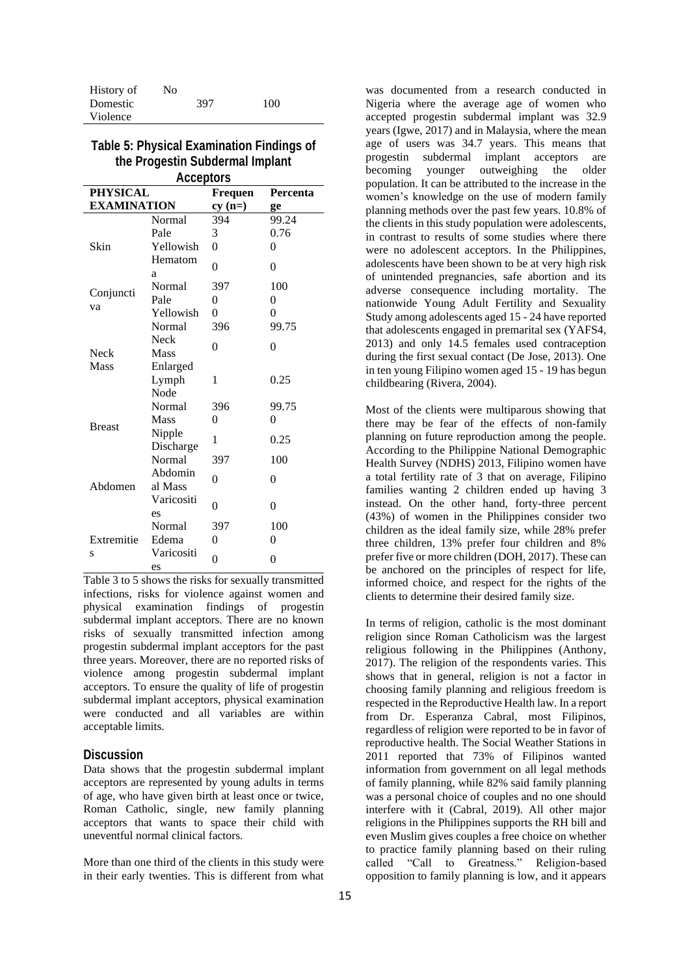| History of | No |     |     |
|------------|----|-----|-----|
| Domestic   |    | 397 | 100 |
| Violence   |    |     |     |

### **Table 5: Physical Examination Findings of the Progestin Subdermal Implant Acceptors**

| <b>PHYSICAL</b><br>Frequen<br>Percenta |                            |                |          |
|----------------------------------------|----------------------------|----------------|----------|
| <b>EXAMINATION</b>                     |                            | $cy(n=)$       | ge       |
|                                        | Normal                     | 394            | 99.24    |
|                                        | Pale                       | 3              | 0.76     |
| Skin                                   | Yellowish                  | 0              | 0        |
|                                        | Hematom<br>a               | 0              | $\theta$ |
|                                        | Normal                     | 397            | 100      |
| Conjuncti                              | Pale                       | 0              | 0        |
| va                                     | Yellowish                  | $\theta$       | 0        |
|                                        | Normal                     | 396            | 99.75    |
| <b>Neck</b>                            | <b>Neck</b><br><b>Mass</b> | $\overline{0}$ | $\theta$ |
| Mass                                   | Enlarged<br>Lymph<br>Node  | 1              | 0.25     |
|                                        | Normal                     | 396            | 99.75    |
|                                        | Mass                       | 0              | 0        |
| <b>Breast</b>                          | Nipple<br>Discharge        | 1              | 0.25     |
|                                        | Normal                     | 397            | 100      |
| Abdomen                                | Abdomin<br>al Mass         | 0              | 0        |
|                                        | Varicositi<br>es           | 0              | $\theta$ |
|                                        | Normal                     | 397            | 100      |
| Extremitie                             | Edema                      | 0              | 0        |
| S                                      | Varicositi<br>es           | 0              | 0        |

Table 3 to 5 shows the risks for sexually transmitted infections, risks for violence against women and physical examination findings of progestin subdermal implant acceptors. There are no known risks of sexually transmitted infection among progestin subdermal implant acceptors for the past three years. Moreover, there are no reported risks of violence among progestin subdermal implant acceptors. To ensure the quality of life of progestin subdermal implant acceptors, physical examination were conducted and all variables are within acceptable limits.

### **Discussion**

Data shows that the progestin subdermal implant acceptors are represented by young adults in terms of age, who have given birth at least once or twice, Roman Catholic, single, new family planning acceptors that wants to space their child with uneventful normal clinical factors.

More than one third of the clients in this study were in their early twenties. This is different from what

was documented from a research conducted in Nigeria where the average age of women who accepted progestin subdermal implant was 32.9 years (Igwe, 2017) and in Malaysia, where the mean age of users was 34.7 years. This means that progestin subdermal implant acceptors are becoming younger outweighing the older population. It can be attributed to the increase in the women's knowledge on the use of modern family planning methods over the past few years. 10.8% of the clients in this study population were adolescents, in contrast to results of some studies where there were no adolescent acceptors. In the Philippines, adolescents have been shown to be at very high risk of unintended pregnancies, safe abortion and its adverse consequence including mortality. The nationwide Young Adult Fertility and Sexuality Study among adolescents aged 15 - 24 have reported that adolescents engaged in premarital sex (YAFS4, 2013) and only 14.5 females used contraception during the first sexual contact (De Jose, 2013). One in ten young Filipino women aged 15 - 19 has begun childbearing (Rivera, 2004).

Most of the clients were multiparous showing that there may be fear of the effects of non-family planning on future reproduction among the people. According to the Philippine National Demographic Health Survey (NDHS) 2013, Filipino women have a total fertility rate of 3 that on average, Filipino families wanting 2 children ended up having 3 instead. On the other hand, forty-three percent (43%) of women in the Philippines consider two children as the ideal family size, while 28% prefer three children, 13% prefer four children and 8% prefer five or more children (DOH, 2017). These can be anchored on the principles of respect for life, informed choice, and respect for the rights of the clients to determine their desired family size.

In terms of religion, catholic is the most dominant religion since Roman Catholicism was the largest religious following in the Philippines (Anthony, 2017). The religion of the respondents varies. This shows that in general, religion is not a factor in choosing family planning and religious freedom is respected in the Reproductive Health law. In a report from Dr. Esperanza Cabral, most Filipinos, regardless of religion were reported to be in favor of reproductive health. The Social Weather Stations in 2011 reported that 73% of Filipinos wanted information from government on all legal methods of family planning, while 82% said family planning was a personal choice of couples and no one should interfere with it (Cabral, 2019). All other major religions in the Philippines supports the RH bill and even Muslim gives couples a free choice on whether to practice family planning based on their ruling called "Call to Greatness." Religion-based opposition to family planning is low, and it appears